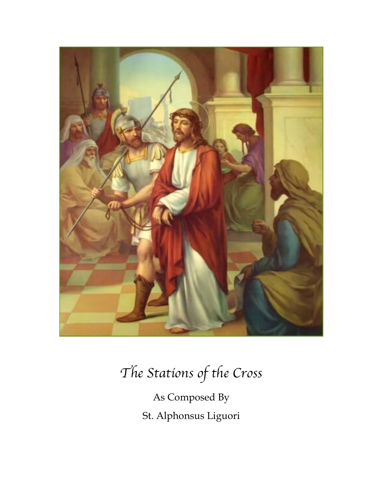

## *The Stations of the Cross*

As Composed By St. Alphonsus Liguori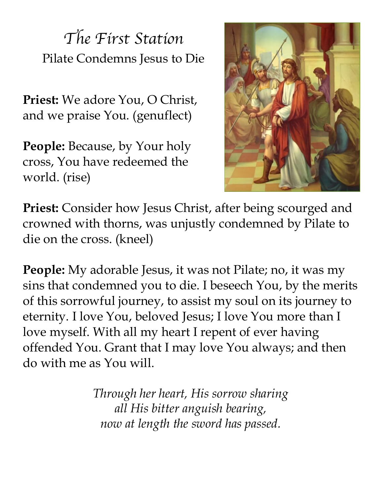*The First Station* Pilate Condemns Jesus to Die

**Priest:** We adore You, O Christ, and we praise You. (genuflect)

**People:** Because, by Your holy cross, You have redeemed the world. (rise)



**Priest:** Consider how Jesus Christ, after being scourged and crowned with thorns, was unjustly condemned by Pilate to die on the cross. (kneel)

**People:** My adorable Jesus, it was not Pilate; no, it was my sins that condemned you to die. I beseech You, by the merits of this sorrowful journey, to assist my soul on its journey to eternity. I love You, beloved Jesus; I love You more than I love myself. With all my heart I repent of ever having offended You. Grant that I may love You always; and then do with me as You will.

> *Through her heart, His sorrow sharing all His bitter anguish bearing, now at length the sword has passed.*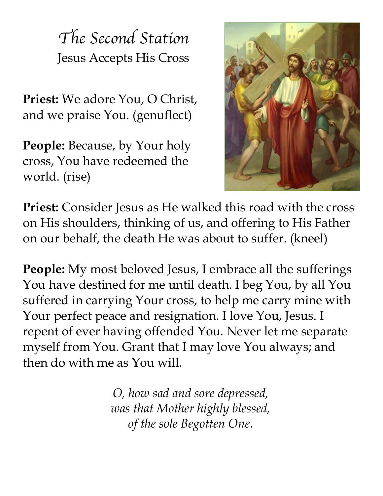*The Second Station* Jesus Accepts His Cross

**Priest:** We adore You, O Christ, and we praise You. (genuflect)

**People:** Because, by Your holy cross, You have redeemed the world. (rise)



**Priest:** Consider Jesus as He walked this road with the cross on His shoulders, thinking of us, and offering to His Father on our behalf, the death He was about to suffer. (kneel)

**People:** My most beloved Jesus, I embrace all the sufferings You have destined for me until death. I beg You, by all You suffered in carrying Your cross, to help me carry mine with Your perfect peace and resignation. I love You, Jesus. I repent of ever having offended You. Never let me separate myself from You. Grant that I may love You always; and then do with me as You will.

> *O, how sad and sore depressed, was that Mother highly blessed, of the sole Begotten One.*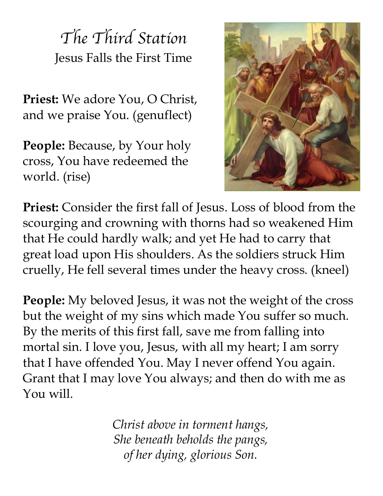*The Third Station* Jesus Falls the First Time

**Priest:** We adore You, O Christ, and we praise You. (genuflect)

**People:** Because, by Your holy cross, You have redeemed the world. (rise)



**Priest:** Consider the first fall of Jesus. Loss of blood from the scourging and crowning with thorns had so weakened Him that He could hardly walk; and yet He had to carry that great load upon His shoulders. As the soldiers struck Him cruelly, He fell several times under the heavy cross. (kneel)

**People:** My beloved Jesus, it was not the weight of the cross but the weight of my sins which made You suffer so much. By the merits of this first fall, save me from falling into mortal sin. I love you, Jesus, with all my heart; I am sorry that I have offended You. May I never offend You again. Grant that I may love You always; and then do with me as You will.

> *Christ above in torment hangs, She beneath beholds the pangs, of her dying, glorious Son.*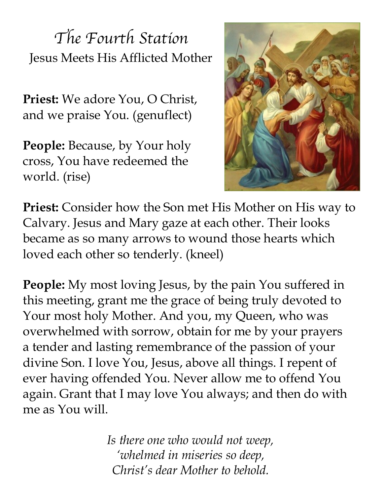*The Fourth Station* Jesus Meets His Afflicted Mother

**Priest:** We adore You, O Christ, and we praise You. (genuflect)

**People:** Because, by Your holy cross, You have redeemed the world. (rise)



**Priest:** Consider how the Son met His Mother on His way to Calvary. Jesus and Mary gaze at each other. Their looks became as so many arrows to wound those hearts which loved each other so tenderly. (kneel)

**People:** My most loving Jesus, by the pain You suffered in this meeting, grant me the grace of being truly devoted to Your most holy Mother. And you, my Queen, who was overwhelmed with sorrow, obtain for me by your prayers a tender and lasting remembrance of the passion of your divine Son. I love You, Jesus, above all things. I repent of ever having offended You. Never allow me to offend You again. Grant that I may love You always; and then do with me as You will.

> *Is there one who would not weep, 'whelmed in miseries so deep, Christ's dear Mother to behold.*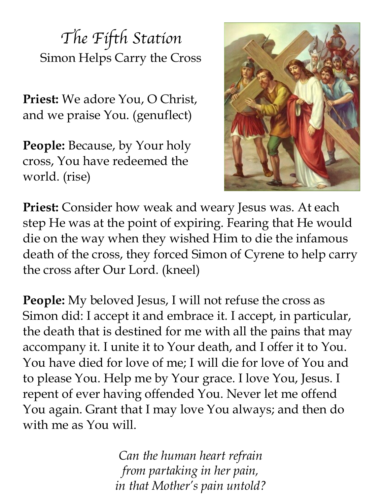*The Fifth Station* Simon Helps Carry the Cross

**Priest:** We adore You, O Christ, and we praise You. (genuflect)

**People:** Because, by Your holy cross, You have redeemed the world. (rise)



**Priest:** Consider how weak and weary Jesus was. At each step He was at the point of expiring. Fearing that He would die on the way when they wished Him to die the infamous death of the cross, they forced Simon of Cyrene to help carry the cross after Our Lord. (kneel)

**People:** My beloved Jesus, I will not refuse the cross as Simon did: I accept it and embrace it. I accept, in particular, the death that is destined for me with all the pains that may accompany it. I unite it to Your death, and I offer it to You. You have died for love of me; I will die for love of You and to please You. Help me by Your grace. I love You, Jesus. I repent of ever having offended You. Never let me offend You again. Grant that I may love You always; and then do with me as You will.

> *Can the human heart refrain from partaking in her pain, in that Mother's pain untold?*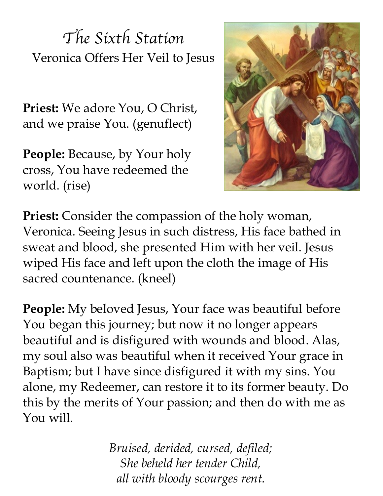*The Sixth Station* Veronica Offers Her Veil to Jesus

**Priest:** We adore You, O Christ, and we praise You. (genuflect)

**People:** Because, by Your holy cross, You have redeemed the world. (rise)



**Priest:** Consider the compassion of the holy woman, Veronica. Seeing Jesus in such distress, His face bathed in sweat and blood, she presented Him with her veil. Jesus wiped His face and left upon the cloth the image of His sacred countenance. (kneel)

**People:** My beloved Jesus, Your face was beautiful before You began this journey; but now it no longer appears beautiful and is disfigured with wounds and blood. Alas, my soul also was beautiful when it received Your grace in Baptism; but I have since disfigured it with my sins. You alone, my Redeemer, can restore it to its former beauty. Do this by the merits of Your passion; and then do with me as You will.

> *Bruised, derided, cursed, defiled; She beheld her tender Child, all with bloody scourges rent.*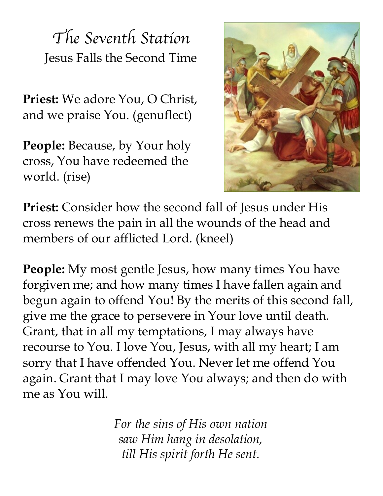*The Seventh Station* Jesus Falls the Second Time

**Priest:** We adore You, O Christ, and we praise You. (genuflect)

**People:** Because, by Your holy cross, You have redeemed the world. (rise)



**Priest:** Consider how the second fall of Jesus under His cross renews the pain in all the wounds of the head and members of our afflicted Lord. (kneel)

**People:** My most gentle Jesus, how many times You have forgiven me; and how many times I have fallen again and begun again to offend You! By the merits of this second fall, give me the grace to persevere in Your love until death. Grant, that in all my temptations, I may always have recourse to You. I love You, Jesus, with all my heart; I am sorry that I have offended You. Never let me offend You again. Grant that I may love You always; and then do with me as You will.

> *For the sins of His own nation saw Him hang in desolation, till His spirit forth He sent.*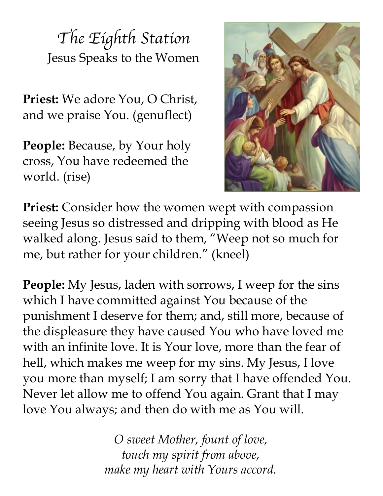*The Eighth Station* Jesus Speaks to the Women

**Priest:** We adore You, O Christ, and we praise You. (genuflect)

**People:** Because, by Your holy cross, You have redeemed the world. (rise)



**Priest:** Consider how the women wept with compassion seeing Jesus so distressed and dripping with blood as He walked along. Jesus said to them, "Weep not so much for me, but rather for your children." (kneel)

**People:** My Jesus, laden with sorrows, I weep for the sins which I have committed against You because of the punishment I deserve for them; and, still more, because of the displeasure they have caused You who have loved me with an infinite love. It is Your love, more than the fear of hell, which makes me weep for my sins. My Jesus, I love you more than myself; I am sorry that I have offended You. Never let allow me to offend You again. Grant that I may love You always; and then do with me as You will.

> *O sweet Mother, fount of love, touch my spirit from above, make my heart with Yours accord.*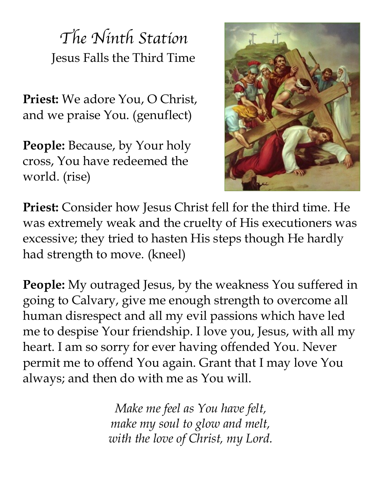*The Ninth Station* Jesus Falls the Third Time

**Priest:** We adore You, O Christ, and we praise You. (genuflect)

**People:** Because, by Your holy cross, You have redeemed the world. (rise)



**Priest:** Consider how Jesus Christ fell for the third time. He was extremely weak and the cruelty of His executioners was excessive; they tried to hasten His steps though He hardly had strength to move. (kneel)

**People:** My outraged Jesus, by the weakness You suffered in going to Calvary, give me enough strength to overcome all human disrespect and all my evil passions which have led me to despise Your friendship. I love you, Jesus, with all my heart. I am so sorry for ever having offended You. Never permit me to offend You again. Grant that I may love You always; and then do with me as You will.

> *Make me feel as You have felt, make my soul to glow and melt, with the love of Christ, my Lord.*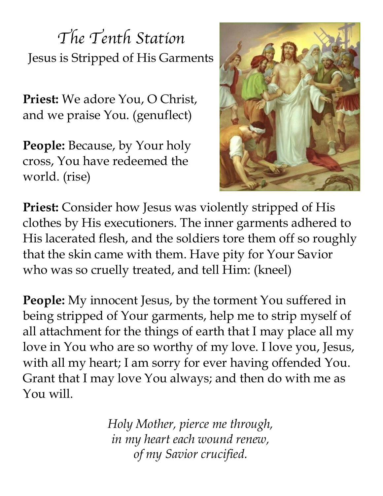*The Tenth Station* Jesus is Stripped of His Garments

**Priest:** We adore You, O Christ, and we praise You. (genuflect)

**People:** Because, by Your holy cross, You have redeemed the world. (rise)



**Priest:** Consider how Jesus was violently stripped of His clothes by His executioners. The inner garments adhered to His lacerated flesh, and the soldiers tore them off so roughly that the skin came with them. Have pity for Your Savior who was so cruelly treated, and tell Him: (kneel)

**People:** My innocent Jesus, by the torment You suffered in being stripped of Your garments, help me to strip myself of all attachment for the things of earth that I may place all my love in You who are so worthy of my love. I love you, Jesus, with all my heart; I am sorry for ever having offended You. Grant that I may love You always; and then do with me as You will.

> *Holy Mother, pierce me through, in my heart each wound renew, of my Savior crucified.*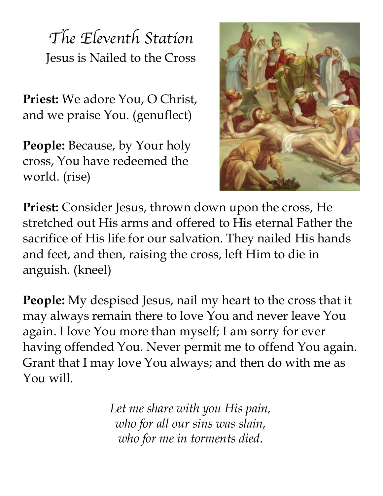*The Eleventh Station* Jesus is Nailed to the Cross

**Priest:** We adore You, O Christ, and we praise You. (genuflect)

**People:** Because, by Your holy cross, You have redeemed the world. (rise)



Priest: Consider Jesus, thrown down upon the cross, He stretched out His arms and offered to His eternal Father the sacrifice of His life for our salvation. They nailed His hands and feet, and then, raising the cross, left Him to die in anguish. (kneel)

**People:** My despised Jesus, nail my heart to the cross that it may always remain there to love You and never leave You again. I love You more than myself; I am sorry for ever having offended You. Never permit me to offend You again. Grant that I may love You always; and then do with me as You will.

> *Let me share with you His pain, who for all our sins was slain, who for me in torments died.*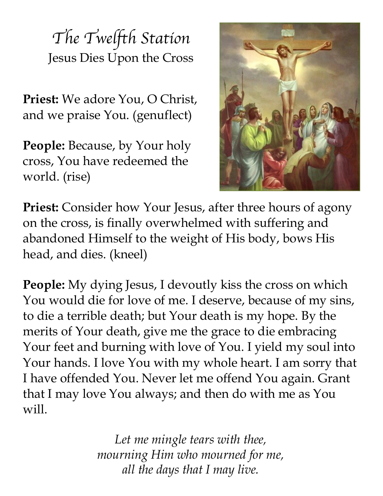*The Twelfth Station* Jesus Dies Upon the Cross

**Priest:** We adore You, O Christ, and we praise You. (genuflect)

**People:** Because, by Your holy cross, You have redeemed the world. (rise)



**Priest:** Consider how Your Jesus, after three hours of agony on the cross, is finally overwhelmed with suffering and abandoned Himself to the weight of His body, bows His head, and dies. (kneel)

**People:** My dying Jesus, I devoutly kiss the cross on which You would die for love of me. I deserve, because of my sins, to die a terrible death; but Your death is my hope. By the merits of Your death, give me the grace to die embracing Your feet and burning with love of You. I yield my soul into Your hands. I love You with my whole heart. I am sorry that I have offended You. Never let me offend You again. Grant that I may love You always; and then do with me as You will.

> *Let me mingle tears with thee, mourning Him who mourned for me, all the days that I may live.*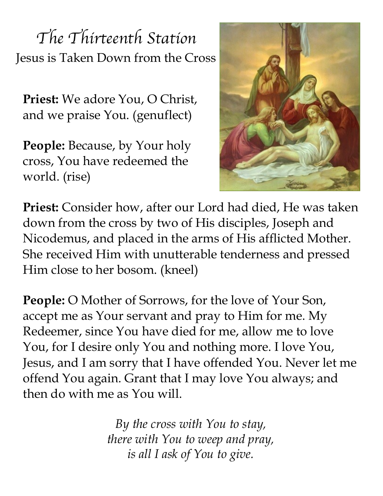*The Thirteenth Station* Jesus is Taken Down from the Cross

**Priest:** We adore You, O Christ, and we praise You. (genuflect)

**People:** Because, by Your holy cross, You have redeemed the world. (rise)



**Priest:** Consider how, after our Lord had died, He was taken down from the cross by two of His disciples, Joseph and Nicodemus, and placed in the arms of His afflicted Mother. She received Him with unutterable tenderness and pressed Him close to her bosom. (kneel)

**People:** O Mother of Sorrows, for the love of Your Son, accept me as Your servant and pray to Him for me. My Redeemer, since You have died for me, allow me to love You, for I desire only You and nothing more. I love You, Jesus, and I am sorry that I have offended You. Never let me offend You again. Grant that I may love You always; and then do with me as You will.

> *By the cross with You to stay, there with You to weep and pray, is all I ask of You to give.*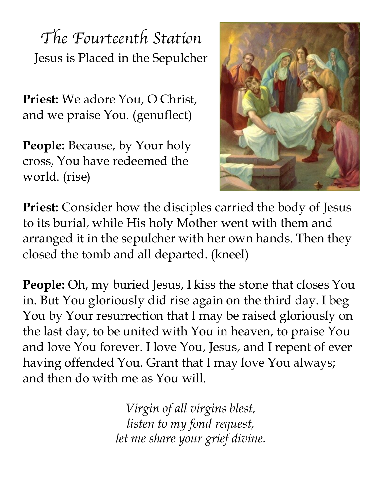*The Fourteenth Station* Jesus is Placed in the Sepulcher

**Priest:** We adore You, O Christ, and we praise You. (genuflect)

**People:** Because, by Your holy cross, You have redeemed the world. (rise)



**Priest:** Consider how the disciples carried the body of Jesus to its burial, while His holy Mother went with them and arranged it in the sepulcher with her own hands. Then they closed the tomb and all departed. (kneel)

**People:** Oh, my buried Jesus, I kiss the stone that closes You in. But You gloriously did rise again on the third day. I beg You by Your resurrection that I may be raised gloriously on the last day, to be united with You in heaven, to praise You and love You forever. I love You, Jesus, and I repent of ever having offended You. Grant that I may love You always; and then do with me as You will.

> *Virgin of all virgins blest, listen to my fond request, let me share your grief divine.*